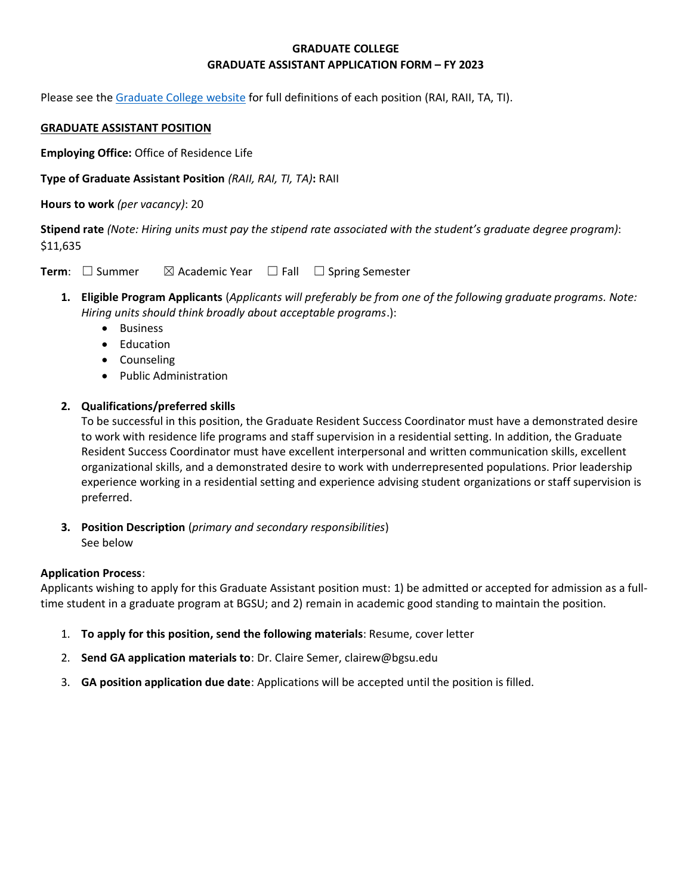# **GRADUATE COLLEGE GRADUATE ASSISTANT APPLICATION FORM – FY 2023**

Please see the [Graduate College website](https://www.bgsu.edu/content/dam/BGSU/graduate-college/GADocs/Grad-Col-GA-Position-Descriptions-21-22.pdf) for full definitions of each position (RAI, RAII, TA, TI).

## **GRADUATE ASSISTANT POSITION**

**Employing Office:** Office of Residence Life

**Type of Graduate Assistant Position** *(RAII, RAI, TI, TA)***:** RAII

**Hours to work** *(per vacancy)*: 20

**Stipend rate** *(Note: Hiring units must pay the stipend rate associated with the student's graduate degree program)*: \$11,635

**Term**: □ Summer  $\boxtimes$  Academic Year □ Fall □ Spring Semester

- **1. Eligible Program Applicants** (*Applicants will preferably be from one of the following graduate programs. Note: Hiring units should think broadly about acceptable programs*.):
	- Business
	- Education
	- Counseling
	- Public Administration

# **2. Qualifications/preferred skills**

To be successful in this position, the Graduate Resident Success Coordinator must have a demonstrated desire to work with residence life programs and staff supervision in a residential setting. In addition, the Graduate Resident Success Coordinator must have excellent interpersonal and written communication skills, excellent organizational skills, and a demonstrated desire to work with underrepresented populations. Prior leadership experience working in a residential setting and experience advising student organizations or staff supervision is preferred.

**3. Position Description** (*primary and secondary responsibilities*) See below

### **Application Process**:

Applicants wishing to apply for this Graduate Assistant position must: 1) be admitted or accepted for admission as a fulltime student in a graduate program at BGSU; and 2) remain in academic good standing to maintain the position.

- 1. **To apply for this position, send the following materials**: Resume, cover letter
- 2. **Send GA application materials to**: Dr. Claire Semer, clairew@bgsu.edu
- 3. **GA position application due date**: Applications will be accepted until the position is filled.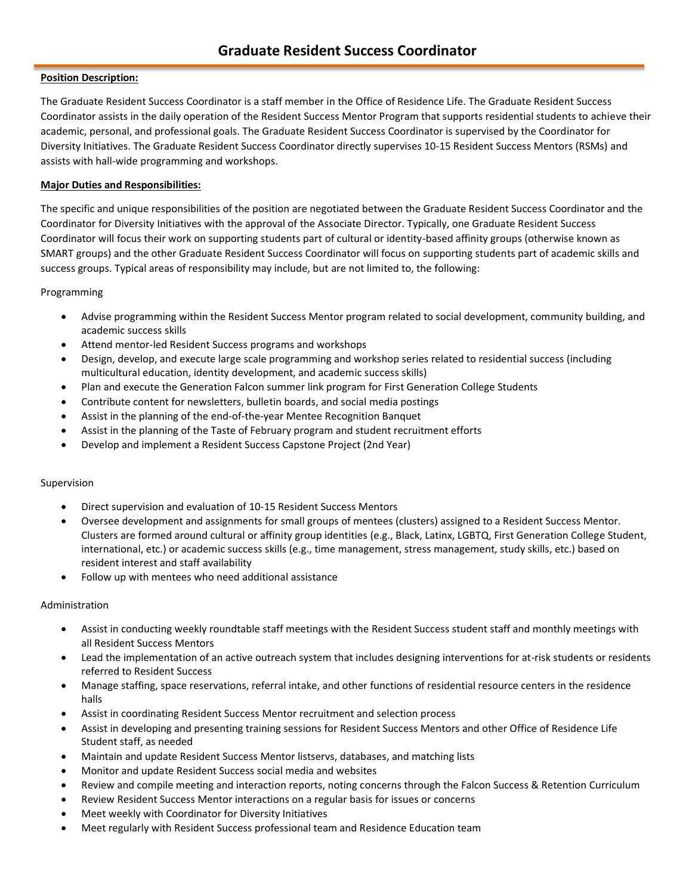## **Position Description:**

The Graduate Resident Success Coordinator is a staff member in the Office of Residence Life. The Graduate Resident Success Coordinator assists in the daily operation of the Resident Success Mentor Program that supports residential students to achieve their academic, personal, and professional goals. The Graduate Resident Success Coordinator is supervised by the Coordinator for Diversity Initiatives. The Graduate Resident Success Coordinator directly supervises 10-15 Resident Success Mentors (RSMs) and assists with hall-wide programming and workshops.

## **Major Duties and Responsibilities:**

The specific and unique responsibilities of the position are negotiated between the Graduate Resident Success Coordinator and the Coordinator for Diversity Initiatives with the approval of the Associate Director. Typically, one Graduate Resident Success Coordinator will focus their work on supporting students part of cultural or identity-based affinity groups (otherwise known as SMART groups) and the other Graduate Resident Success Coordinator will focus on supporting students part of academic skills and success groups. Typical areas of responsibility may include, but are not limited to, the following:

### Programming

- Advise programming within the Resident Success Mentor program related to social development, community building, and academic success skills
- Attend mentor-led Resident Success programs and workshops
- Design, develop, and execute large scale programming and workshop series related to residential success (including multicultural education, identity development, and academic success skills)
- Plan and execute the Generation Falcon summer link program for First Generation College Students
- Contribute content for newsletters, bulletin boards, and social media postings
- Assist in the planning of the end-of-the-year Mentee Recognition Banquet
- Assist in the planning of the Taste of February program and student recruitment efforts
- Develop and implement a Resident Success Capstone Project (2nd Year)

### Supervision

- Direct supervision and evaluation of 10-15 Resident Success Mentors
- Oversee development and assignments for small groups of mentees (clusters) assigned to a Resident Success Mentor. Clusters are formed around cultural or affinity group identities (e.g., Black, Latinx, LGBTQ, First Generation College Student, international, etc.) or academic success skills (e.g., time management, stress management, study skills, etc.) based on resident interest and staff availability
- Follow up with mentees who need additional assistance

### Administration

- Assist in conducting weekly roundtable staff meetings with the Resident Success student staff and monthly meetings with all Resident Success Mentors
- Lead the implementation of an active outreach system that includes designing interventions for at-risk students or residents referred to Resident Success
- Manage staffing, space reservations, referral intake, and other functions of residential resource centers in the residence halls
- Assist in coordinating Resident Success Mentor recruitment and selection process
- Assist in developing and presenting training sessions for Resident Success Mentors and other Office of Residence Life Student staff, as needed
- Maintain and update Resident Success Mentor listservs, databases, and matching lists
- Monitor and update Resident Success social media and websites
- Review and compile meeting and interaction reports, noting concerns through the Falcon Success & Retention Curriculum
- Review Resident Success Mentor interactions on a regular basis for issues or concerns
- Meet weekly with Coordinator for Diversity Initiatives
- Meet regularly with Resident Success professional team and Residence Education team